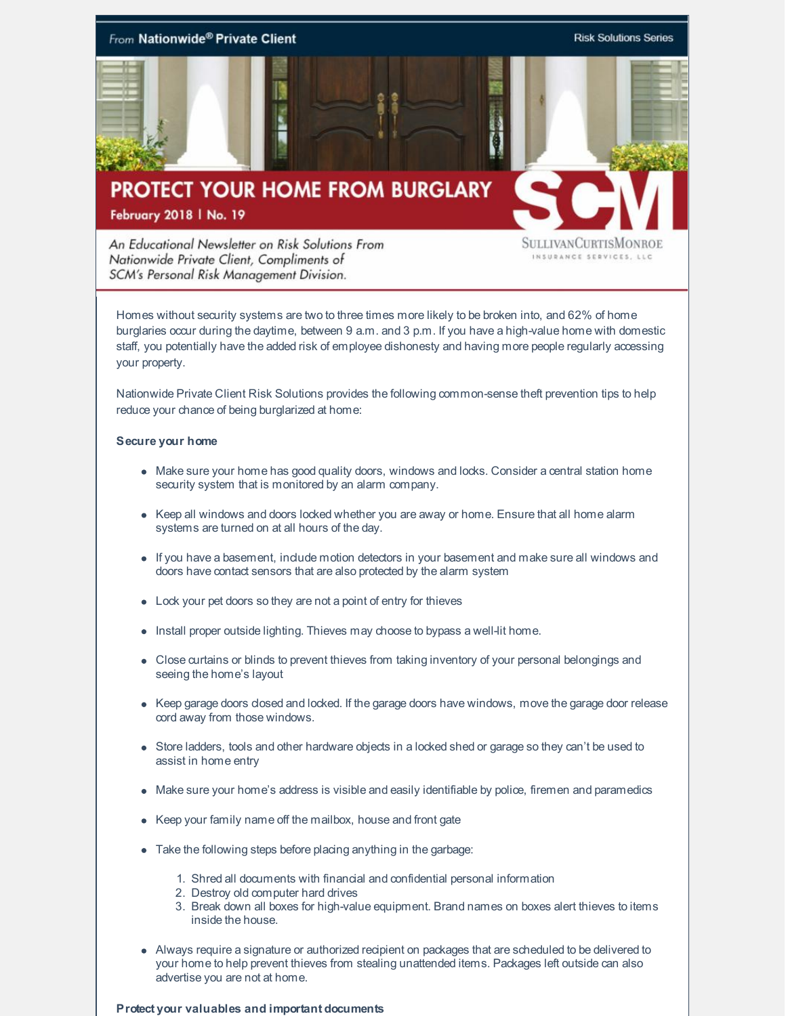

An Educational Newsletter on Risk Solutions From Nationwide Private Client, Compliments of SCM's Personal Risk Management Division.

SULLIVANCURTISMONROE INSURANCE SERVICES, LLC

Homes without security systems are two to three times more likely to be broken into, and 62% of home burglaries occur during the daytime, between 9 a.m. and 3 p.m. If you have a high-value home with domestic staff, you potentially have the added risk of employee dishonesty and having more people regularly accessing your property.

Nationwide Private Client Risk Solutions provides the following common-sense theft prevention tips to help reduce your chance of being burglarized at home:

## **Secure your home**

- Make sure your home has good quality doors, windows and locks. Consider a central station home security system that is monitored by an alarm company.
- Keep all windows and doors locked whether you are away or home. Ensure that all home alarm systems are turned on at all hours of the day.
- If you have a basement, include motion detectors in your basement and make sure all windows and doors have contact sensors that are also protected by the alarm system
- Lock your pet doors so they are not a point of entry for thieves
- Install proper outside lighting. Thieves may choose to bypass a well-lit home.
- Close curtains or blinds to prevent thieves from taking inventory of your personal belongings and seeing the home's layout
- Keep garage doors closed and locked. If the garage doors have windows, move the garage door release cord away from those windows.
- Store ladders, tools and other hardware objects in a locked shed or garage so they can't be used to assist in home entry
- Make sure your home's address is visible and easily identifiable by police, firemen and paramedics
- Keep your family name off the mailbox, house and front gate
- Take the following steps before placing anything in the garbage:
	- 1. Shred all documents with financial and confidential personal information
	- 2. Destroy old computer hard drives
	- 3. Break down all boxes for high-value equipment. Brand names on boxes alert thieves to items inside the house.
- Always require a signature or authorized recipient on packages that are scheduled to be delivered to your home to help prevent thieves from stealing unattended items. Packages left outside can also advertise you are not at home.

#### **Protect your valuables and important documents**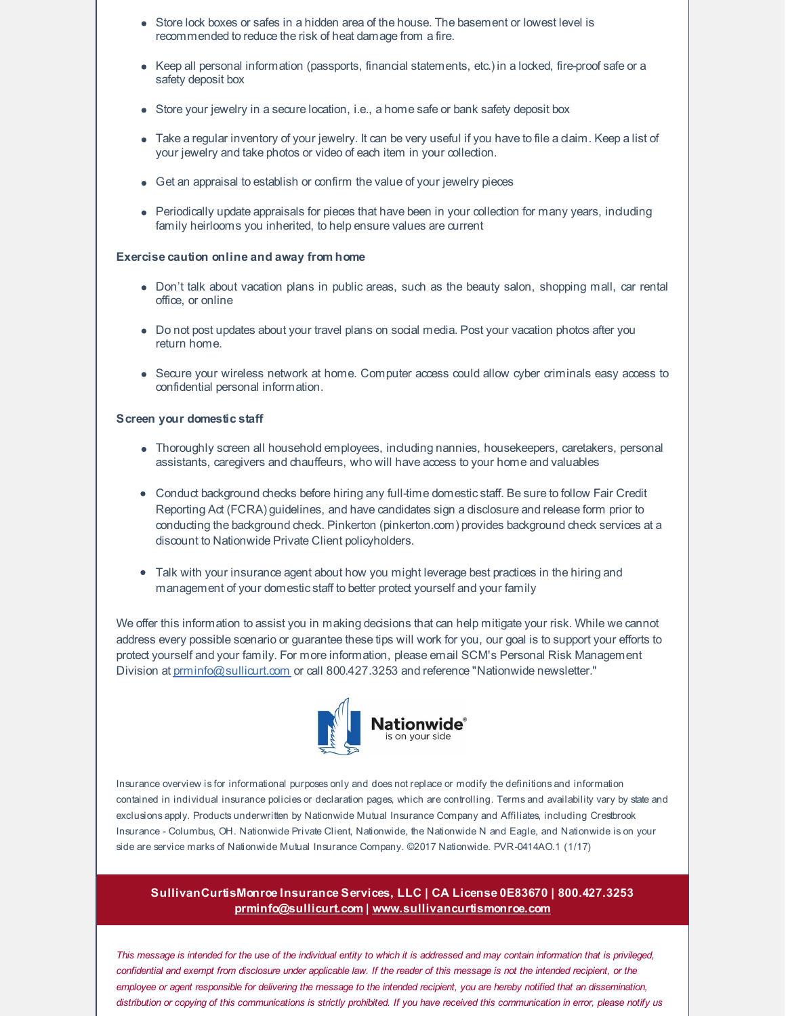- Store lock boxes or safes in a hidden area of the house. The basement or lowest level is recommended to reduce the risk of heat damage from a fire.
- Keep all personal information (passports, financial statements, etc.) in a locked, fire-proof safe or a safety deposit box
- $\bullet$  Store your jewelry in a secure location, i.e., a home safe or bank safety deposit box
- Take a regular inventory of your jewelry. It can be very useful if you have to file a daim. Keep a list of your jewelry and take photos or video of each item in your collection.
- Get an appraisal to establish or confirm the value of your jewelry pieces
- Periodically update appraisals for pieces that have been in your collection for many years, induding family heirlooms you inherited, to help ensure values are current

### **Exercise caution online and away from home**

- Don't talk about vacation plans in public areas, such as the beauty salon, shopping mall, car rental office, or online
- Do not post updates about your travel plans on social media. Post your vacation photos after you return home.
- Secure your wireless network at home. Computer access could allow cyber criminals easy access to confidential personal information.

#### **Screen your domestic staff**

- Thoroughly screen all household employees, including nannies, housekeepers, caretakers, personal assistants, caregivers and chauffeurs, who will have access to your home and valuables
- Conduct background checks before hiring any full-time domesticstaff. Be sure to follow Fair Credit Reporting Act (FCRA) guidelines, and have candidates sign a disclosure and release form prior to conducting the background check. Pinkerton (pinkerton.com) provides background check services at a discount to Nationwide Private Client policyholders.
- Talk with your insurance agent about how you might leverage best practices in the hiring and management of your domesticstaff to better protect yourself and your family

We offer this information to assist you in making decisions that can help mitigate your risk. While we cannot address every possible scenario or guarantee these tips will work for you, our goal is to support your efforts to protect yourself and your family. For more information, please email SCM's Personal Risk Management Division at [prminfo@sullicurt.com](mailto:prminfo@sullicurt.com) or call 800.427.3253 and reference "Nationwide newsletter."



Insurance overview is for informational purposes only and does not replace or modify the definitions and information contained in individual insurance policies or declaration pages, which are controlling. Terms and availability vary by state and exclusions apply. Products underwritten by Nationwide Mutual Insurance Company and Affiliates, including Crestbrook Insurance - Columbus, OH. Nationwide Private Client, Nationwide, the Nationwide N and Eagle, and Nationwide is on your side are service marks of Nationwide Mutual Insurance Company. ©2017 Nationwide. PVR-0414AO.1 (1/17)

# **SullivanCurtisMonroe Insurance Services, LLC | CA License 0E83670 | 800.427.3253 [prminfo@sullicurt.com](mailto:prminfo@sullicurt.com) | [www.sullivancurtismonroe.com](http://www.sullivancurtismonroe.com/)**

This message is intended for the use of the individual entity to which it is addressed and may contain information that is privileged, confidential and exempt from disclosure under applicable law. If the reader of this message is not the intended recipient, or the employee or agent responsible for delivering the message to the intended recipient, you are hereby notified that an dissemination, distribution or copying of this communications is strictly prohibited. If you have received this communication in error, please notify us